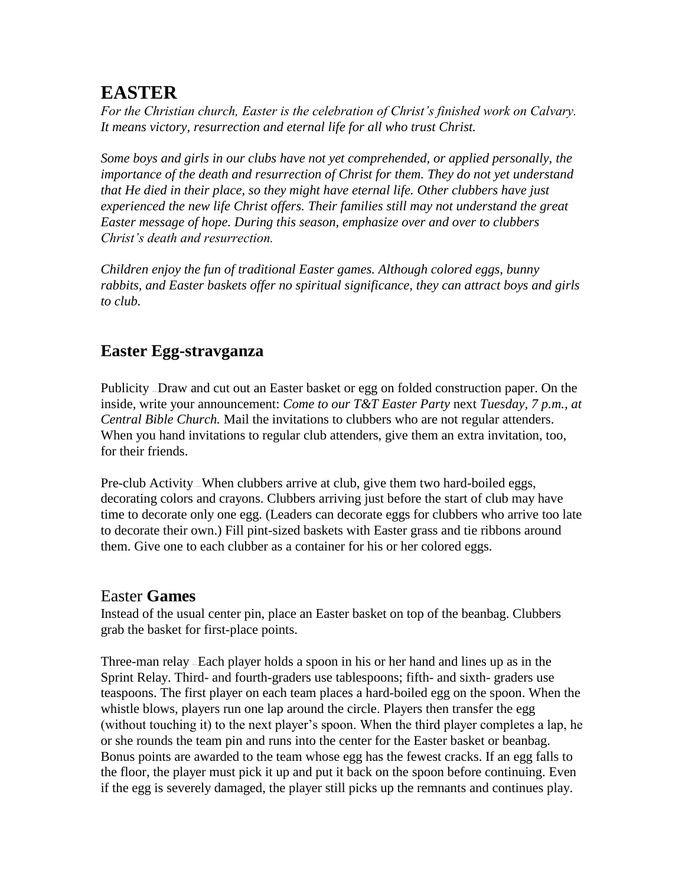# **EASTER**

*For the Christian church, Easter is the celebration of Christ's finished work on Calvary. It means victory, resurrection and eternal life for all who trust Christ.*

*Some boys and girls in our clubs have not yet comprehended, or applied personally, the importance of the death and resurrection of Christ for them. They do not yet understand that He died in their place, so they might have eternal life. Other clubbers have just experienced the new life Christ offers. Their families still may not understand the great Easter message of hope. During this season, emphasize over and over to clubbers Christ's death and resurrection.*

*Children enjoy the fun of traditional Easter games. Although colored eggs, bunny rabbits, and Easter baskets offer no spiritual significance, they can attract boys and girls to club.*

# **Easter Egg-stravganza**

Publicity — Draw and cut out an Easter basket or egg on folded construction paper. On the inside, write your announcement: *Come to our T&T Easter Party* next *Tuesday, 7 p.m., at Central Bible Church.* Mail the invitations to clubbers who are not regular attenders. When you hand invitations to regular club attenders, give them an extra invitation, too, for their friends.

Pre-club Activity — When clubbers arrive at club, give them two hard-boiled eggs, decorating colors and crayons. Clubbers arriving just before the start of club may have time to decorate only one egg. (Leaders can decorate eggs for clubbers who arrive too late to decorate their own.) Fill pint-sized baskets with Easter grass and tie ribbons around them. Give one to each clubber as a container for his or her colored eggs.

## Easter **Games**

Instead of the usual center pin, place an Easter basket on top of the beanbag. Clubbers grab the basket for first-place points.

Three-man relay — Each player holds a spoon in his or her hand and lines up as in the Sprint Relay. Third- and fourth-graders use tablespoons; fifth- and sixth- graders use teaspoons. The first player on each team places a hard-boiled egg on the spoon. When the whistle blows, players run one lap around the circle. Players then transfer the egg (without touching it) to the next player's spoon. When the third player completes a lap, he or she rounds the team pin and runs into the center for the Easter basket or beanbag. Bonus points are awarded to the team whose egg has the fewest cracks. If an egg falls to the floor, the player must pick it up and put it back on the spoon before continuing. Even if the egg is severely damaged, the player still picks up the remnants and continues play.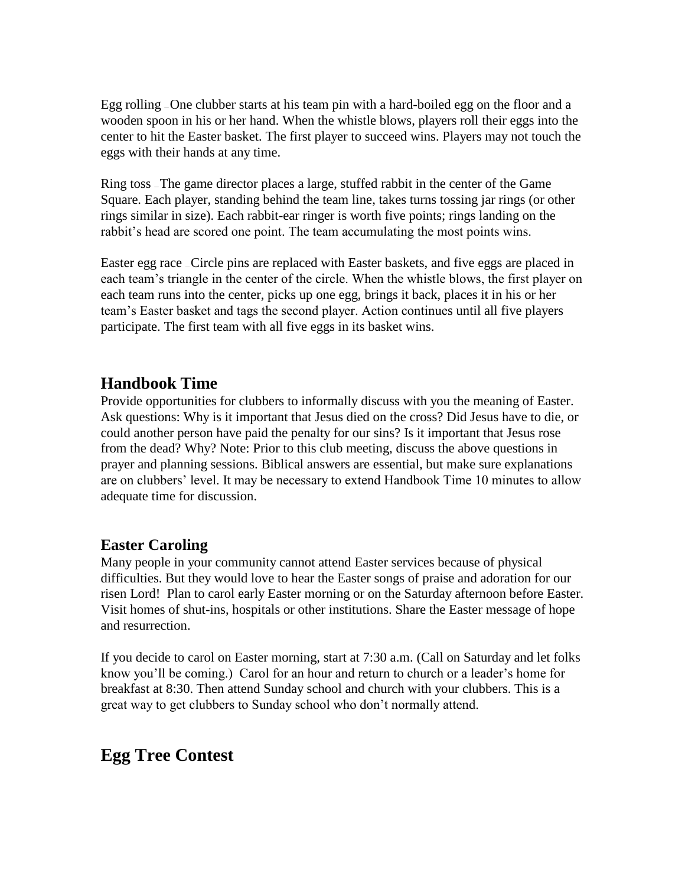Egg rolling — One clubber starts at his team pin with a hard-boiled egg on the floor and a wooden spoon in his or her hand. When the whistle blows, players roll their eggs into the center to hit the Easter basket. The first player to succeed wins. Players may not touch the eggs with their hands at any time.

Ring toss — The game director places a large, stuffed rabbit in the center of the Game Square. Each player, standing behind the team line, takes turns tossing jar rings (or other rings similar in size). Each rabbit-ear ringer is worth five points; rings landing on the rabbit's head are scored one point. The team accumulating the most points wins.

Easter egg race — Circle pins are replaced with Easter baskets, and five eggs are placed in each team's triangle in the center of the circle. When the whistle blows, the first player on each team runs into the center, picks up one egg, brings it back, places it in his or her team's Easter basket and tags the second player. Action continues until all five players participate. The first team with all five eggs in its basket wins.

### **Handbook Time**

Provide opportunities for clubbers to informally discuss with you the meaning of Easter. Ask questions: Why is it important that Jesus died on the cross? Did Jesus have to die, or could another person have paid the penalty for our sins? Is it important that Jesus rose from the dead? Why? Note: Prior to this club meeting, discuss the above questions in prayer and planning sessions. Biblical answers are essential, but make sure explanations are on clubbers' level. It may be necessary to extend Handbook Time 10 minutes to allow adequate time for discussion.

### **Easter Caroling**

Many people in your community cannot attend Easter services because of physical difficulties. But they would love to hear the Easter songs of praise and adoration for our risen Lord! Plan to carol early Easter morning or on the Saturday afternoon before Easter. Visit homes of shut-ins, hospitals or other institutions. Share the Easter message of hope and resurrection.

If you decide to carol on Easter morning, start at 7:30 a.m. (Call on Saturday and let folks know you'll be coming.) Carol for an hour and return to church or a leader's home for breakfast at 8:30. Then attend Sunday school and church with your clubbers. This is a great way to get clubbers to Sunday school who don't normally attend.

## **Egg Tree Contest**